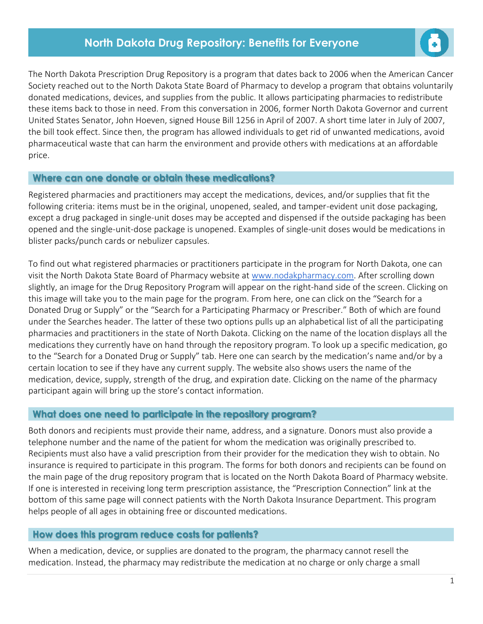## **North Dakota Drug Repository: Benefits for Everyone**



The North Dakota Prescription Drug Repository is a program that dates back to 2006 when the American Cancer Society reached out to the North Dakota State Board of Pharmacy to develop a program that obtains voluntarily donated medications, devices, and supplies from the public. It allows participating pharmacies to redistribute these items back to those in need. From this conversation in 2006, former North Dakota Governor and current United States Senator, John Hoeven, signed House Bill 1256 in April of 2007. A short time later in July of 2007, the bill took effect. Since then, the program has allowed individuals to get rid of unwanted medications, avoid pharmaceutical waste that can harm the environment and provide others with medications at an affordable price.

## **Where can one donate or obtain these medications?**

Registered pharmacies and practitioners may accept the medications, devices, and/or supplies that fit the following criteria: items must be in the original, unopened, sealed, and tamper-evident unit dose packaging, except a drug packaged in single-unit doses may be accepted and dispensed if the outside packaging has been opened and the single-unit-dose package is unopened. Examples of single-unit doses would be medications in blister packs/punch cards or nebulizer capsules.

To find out what registered pharmacies or practitioners participate in the program for North Dakota, one can visit the North Dakota State Board of Pharmacy website at [www.nodakpharmacy.com.](http://www.nodakpharmacy.com/) After scrolling down slightly, an image for the Drug Repository Program will appear on the right-hand side of the screen. Clicking on this image will take you to the main page for the program. From here, one can click on the "Search for a Donated Drug or Supply" or the "Search for a Participating Pharmacy or Prescriber." Both of which are found under the Searches header. The latter of these two options pulls up an alphabetical list of all the participating pharmacies and practitioners in the state of North Dakota. Clicking on the name of the location displays all the medications they currently have on hand through the repository program. To look up a specific medication, go to the "Search for a Donated Drug or Supply" tab. Here one can search by the medication's name and/or by a certain location to see if they have any current supply. The website also shows users the name of the medication, device, supply, strength of the drug, and expiration date. Clicking on the name of the pharmacy participant again will bring up the store's contact information.

## **What does one need to participate in the repository program?**

Both donors and recipients must provide their name, address, and a signature. Donors must also provide a telephone number and the name of the patient for whom the medication was originally prescribed to. Recipients must also have a valid prescription from their provider for the medication they wish to obtain. No insurance is required to participate in this program. The forms for both donors and recipients can be found on the main page of the drug repository program that is located on the North Dakota Board of Pharmacy website. If one is interested in receiving long term prescription assistance, the "Prescription Connection" link at the bottom of this same page will connect patients with the North Dakota Insurance Department. This program helps people of all ages in obtaining free or discounted medications.

## **How does this program reduce costs for patients?**

When a medication, device, or supplies are donated to the program, the pharmacy cannot resell the medication. Instead, the pharmacy may redistribute the medication at no charge or only charge a small